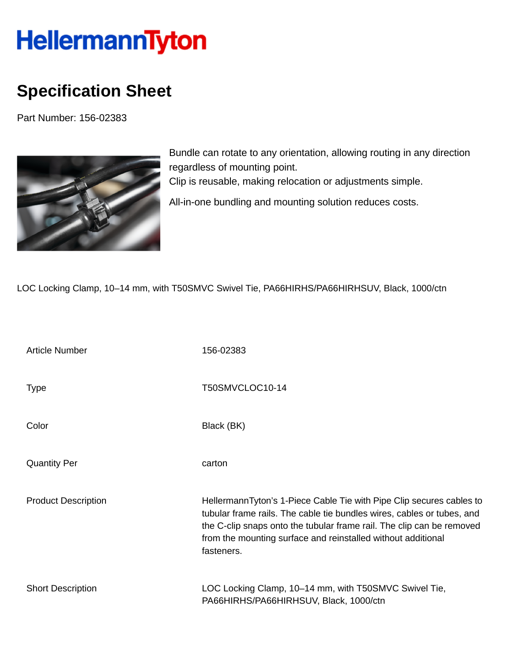## HellermannTyton

## **Specification Sheet**

Part Number: 156-02383



Bundle can rotate to any orientation, allowing routing in any direction regardless of mounting point. Clip is reusable, making relocation or adjustments simple. All-in-one bundling and mounting solution reduces costs.

LOC Locking Clamp, 10–14 mm, with T50SMVC Swivel Tie, PA66HIRHS/PA66HIRHSUV, Black, 1000/ctn

| <b>Article Number</b>      | 156-02383                                                                                                                                                                                                                                                                                             |
|----------------------------|-------------------------------------------------------------------------------------------------------------------------------------------------------------------------------------------------------------------------------------------------------------------------------------------------------|
| <b>Type</b>                | T50SMVCLOC10-14                                                                                                                                                                                                                                                                                       |
| Color                      | Black (BK)                                                                                                                                                                                                                                                                                            |
| <b>Quantity Per</b>        | carton                                                                                                                                                                                                                                                                                                |
| <b>Product Description</b> | HellermannTyton's 1-Piece Cable Tie with Pipe Clip secures cables to<br>tubular frame rails. The cable tie bundles wires, cables or tubes, and<br>the C-clip snaps onto the tubular frame rail. The clip can be removed<br>from the mounting surface and reinstalled without additional<br>fasteners. |
| <b>Short Description</b>   | LOC Locking Clamp, 10–14 mm, with T50SMVC Swivel Tie,<br>PA66HIRHS/PA66HIRHSUV, Black, 1000/ctn                                                                                                                                                                                                       |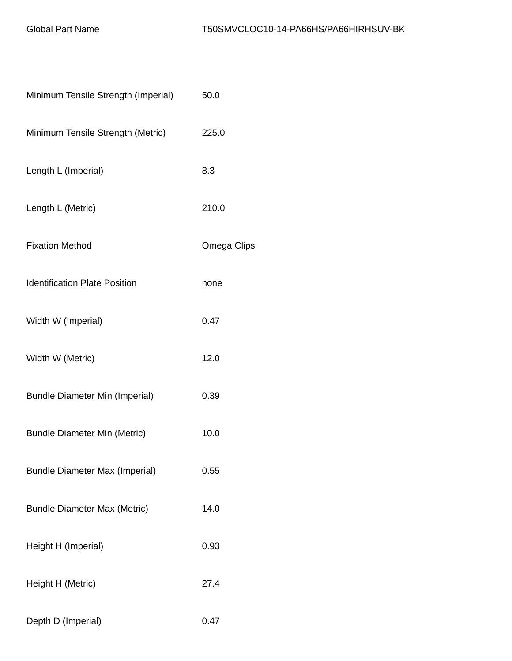| Minimum Tensile Strength (Imperial)   | 50.0        |
|---------------------------------------|-------------|
| Minimum Tensile Strength (Metric)     | 225.0       |
| Length L (Imperial)                   | 8.3         |
| Length L (Metric)                     | 210.0       |
| <b>Fixation Method</b>                | Omega Clips |
| <b>Identification Plate Position</b>  | none        |
| Width W (Imperial)                    | 0.47        |
| Width W (Metric)                      | 12.0        |
| <b>Bundle Diameter Min (Imperial)</b> | 0.39        |
| <b>Bundle Diameter Min (Metric)</b>   | 10.0        |
| <b>Bundle Diameter Max (Imperial)</b> | 0.55        |
| <b>Bundle Diameter Max (Metric)</b>   | 14.0        |
| Height H (Imperial)                   | 0.93        |
| Height H (Metric)                     | 27.4        |
| Depth D (Imperial)                    | 0.47        |